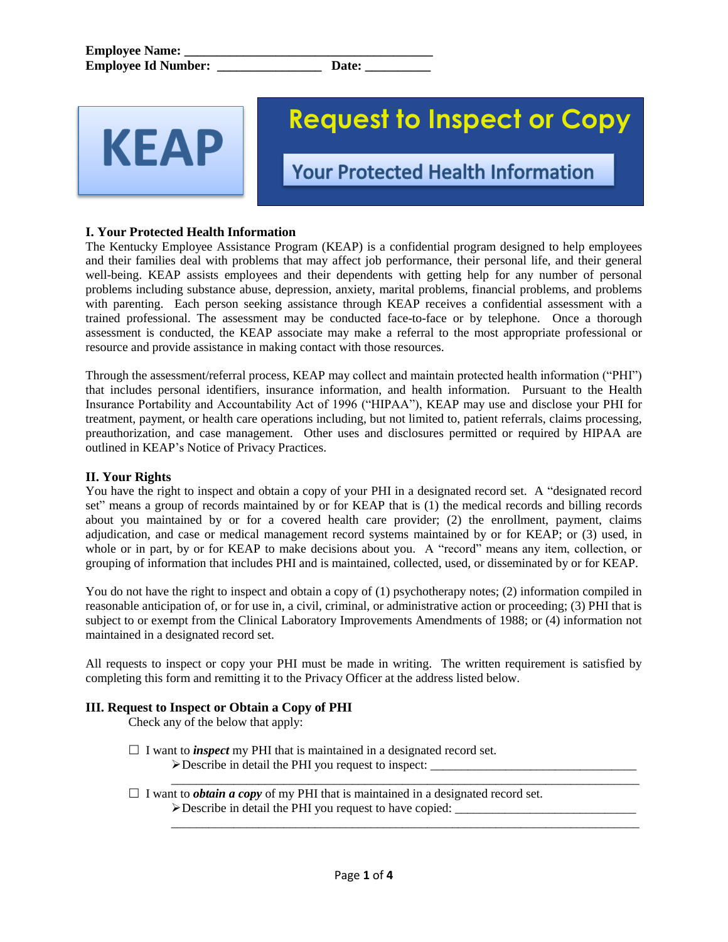KEAP

# **Request to Inspect or Copy**

**Your Protected Health Information** 

## **I. Your Protected Health Information**

The Kentucky Employee Assistance Program (KEAP) is a confidential program designed to help employees and their families deal with problems that may affect job performance, their personal life, and their general well-being. KEAP assists employees and their dependents with getting help for any number of personal problems including substance abuse, depression, anxiety, marital problems, financial problems, and problems with parenting. Each person seeking assistance through KEAP receives a confidential assessment with a trained professional. The assessment may be conducted face-to-face or by telephone. Once a thorough assessment is conducted, the KEAP associate may make a referral to the most appropriate professional or resource and provide assistance in making contact with those resources.

Through the assessment/referral process, KEAP may collect and maintain protected health information ("PHI") that includes personal identifiers, insurance information, and health information. Pursuant to the Health Insurance Portability and Accountability Act of 1996 ("HIPAA"), KEAP may use and disclose your PHI for treatment, payment, or health care operations including, but not limited to, patient referrals, claims processing, preauthorization, and case management. Other uses and disclosures permitted or required by HIPAA are outlined in KEAP's Notice of Privacy Practices.

### **II. Your Rights**

You have the right to inspect and obtain a copy of your PHI in a designated record set. A "designated record set" means a group of records maintained by or for KEAP that is (1) the medical records and billing records about you maintained by or for a covered health care provider; (2) the enrollment, payment, claims adjudication, and case or medical management record systems maintained by or for KEAP; or (3) used, in whole or in part, by or for KEAP to make decisions about you. A "record" means any item, collection, or grouping of information that includes PHI and is maintained, collected, used, or disseminated by or for KEAP.

You do not have the right to inspect and obtain a copy of (1) psychotherapy notes; (2) information compiled in reasonable anticipation of, or for use in, a civil, criminal, or administrative action or proceeding; (3) PHI that is subject to or exempt from the Clinical Laboratory Improvements Amendments of 1988; or (4) information not maintained in a designated record set.

All requests to inspect or copy your PHI must be made in writing. The written requirement is satisfied by completing this form and remitting it to the Privacy Officer at the address listed below.

#### **III. Request to Inspect or Obtain a Copy of PHI**

Check any of the below that apply:

- $\Box$  I want to *inspect* my PHI that is maintained in a designated record set.  $\triangleright$  Describe in detail the PHI you request to inspect:  $\perp$
- $\overline{\phantom{a}}$  ,  $\overline{\phantom{a}}$  ,  $\overline{\phantom{a}}$  ,  $\overline{\phantom{a}}$  ,  $\overline{\phantom{a}}$  ,  $\overline{\phantom{a}}$  ,  $\overline{\phantom{a}}$  ,  $\overline{\phantom{a}}$  ,  $\overline{\phantom{a}}$  ,  $\overline{\phantom{a}}$  ,  $\overline{\phantom{a}}$  ,  $\overline{\phantom{a}}$  ,  $\overline{\phantom{a}}$  ,  $\overline{\phantom{a}}$  ,  $\overline{\phantom{a}}$  ,  $\overline{\phantom{a}}$  $\Box$  I want to *obtain a copy* of my PHI that is maintained in a designated record set.  $\triangleright$  Describe in detail the PHI you request to have copied:

 $\overline{\phantom{a}}$  ,  $\overline{\phantom{a}}$  ,  $\overline{\phantom{a}}$  ,  $\overline{\phantom{a}}$  ,  $\overline{\phantom{a}}$  ,  $\overline{\phantom{a}}$  ,  $\overline{\phantom{a}}$  ,  $\overline{\phantom{a}}$  ,  $\overline{\phantom{a}}$  ,  $\overline{\phantom{a}}$  ,  $\overline{\phantom{a}}$  ,  $\overline{\phantom{a}}$  ,  $\overline{\phantom{a}}$  ,  $\overline{\phantom{a}}$  ,  $\overline{\phantom{a}}$  ,  $\overline{\phantom{a}}$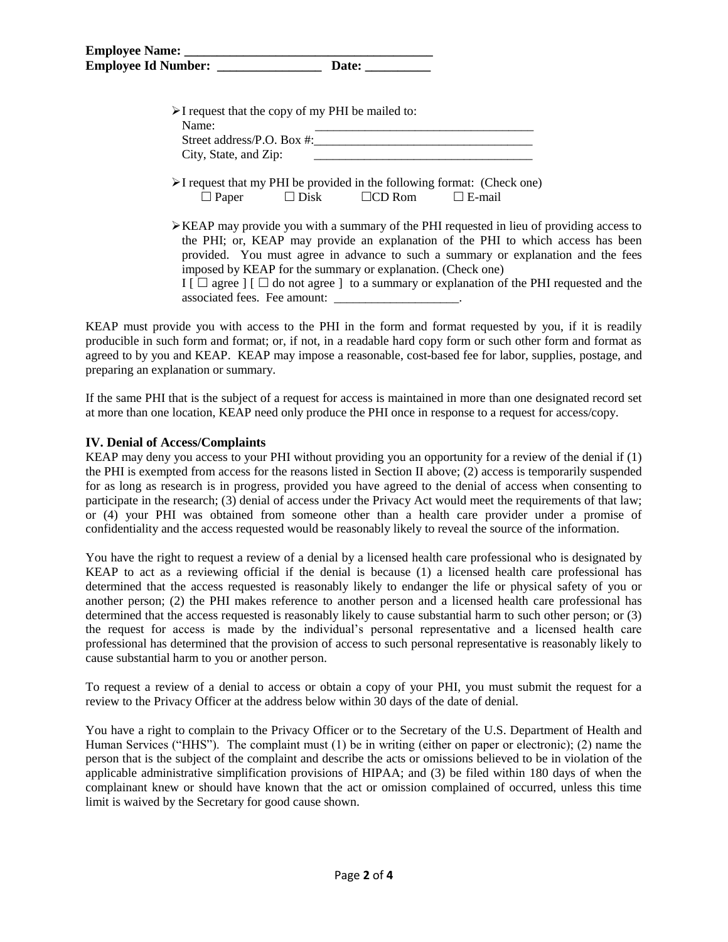| $\triangleright$ I request that the copy of my PHI be mailed to:<br>Name:<br>Street address/P.O. Box #: |                |               |               |                                                                                                                                                                                              |
|---------------------------------------------------------------------------------------------------------|----------------|---------------|---------------|----------------------------------------------------------------------------------------------------------------------------------------------------------------------------------------------|
| City, State, and Zip:                                                                                   |                |               |               |                                                                                                                                                                                              |
| $\triangleright$ I request that my PHI be provided in the following format: (Check one)                 |                |               |               |                                                                                                                                                                                              |
| $\Box$ Paper                                                                                            | $\square$ Disk | $\Box$ CD Rom | $\Box$ E-mail |                                                                                                                                                                                              |
|                                                                                                         |                |               |               | $\triangleright$ KEAP may provide you with a summary of the PHI requested in lieu of providing access to<br>the PHI; or, KEAP may provide an explanation of the PHI to which access has been |

provided. You must agree in advance to such a summary or explanation and the fees imposed by KEAP for the summary or explanation. (Check one)  $I \cap \Box$  agree  $I \cap \Box$  do not agree  $\Box$  to a summary or explanation of the PHI requested and the

associated fees. Fee amount:

KEAP must provide you with access to the PHI in the form and format requested by you, if it is readily producible in such form and format; or, if not, in a readable hard copy form or such other form and format as agreed to by you and KEAP. KEAP may impose a reasonable, cost-based fee for labor, supplies, postage, and preparing an explanation or summary.

If the same PHI that is the subject of a request for access is maintained in more than one designated record set at more than one location, KEAP need only produce the PHI once in response to a request for access/copy.

#### **IV. Denial of Access/Complaints**

KEAP may deny you access to your PHI without providing you an opportunity for a review of the denial if (1) the PHI is exempted from access for the reasons listed in Section II above; (2) access is temporarily suspended for as long as research is in progress, provided you have agreed to the denial of access when consenting to participate in the research; (3) denial of access under the Privacy Act would meet the requirements of that law; or (4) your PHI was obtained from someone other than a health care provider under a promise of confidentiality and the access requested would be reasonably likely to reveal the source of the information.

You have the right to request a review of a denial by a licensed health care professional who is designated by KEAP to act as a reviewing official if the denial is because (1) a licensed health care professional has determined that the access requested is reasonably likely to endanger the life or physical safety of you or another person; (2) the PHI makes reference to another person and a licensed health care professional has determined that the access requested is reasonably likely to cause substantial harm to such other person; or (3) the request for access is made by the individual's personal representative and a licensed health care professional has determined that the provision of access to such personal representative is reasonably likely to cause substantial harm to you or another person.

To request a review of a denial to access or obtain a copy of your PHI, you must submit the request for a review to the Privacy Officer at the address below within 30 days of the date of denial.

You have a right to complain to the Privacy Officer or to the Secretary of the U.S. Department of Health and Human Services ("HHS"). The complaint must (1) be in writing (either on paper or electronic); (2) name the person that is the subject of the complaint and describe the acts or omissions believed to be in violation of the applicable administrative simplification provisions of HIPAA; and (3) be filed within 180 days of when the complainant knew or should have known that the act or omission complained of occurred, unless this time limit is waived by the Secretary for good cause shown.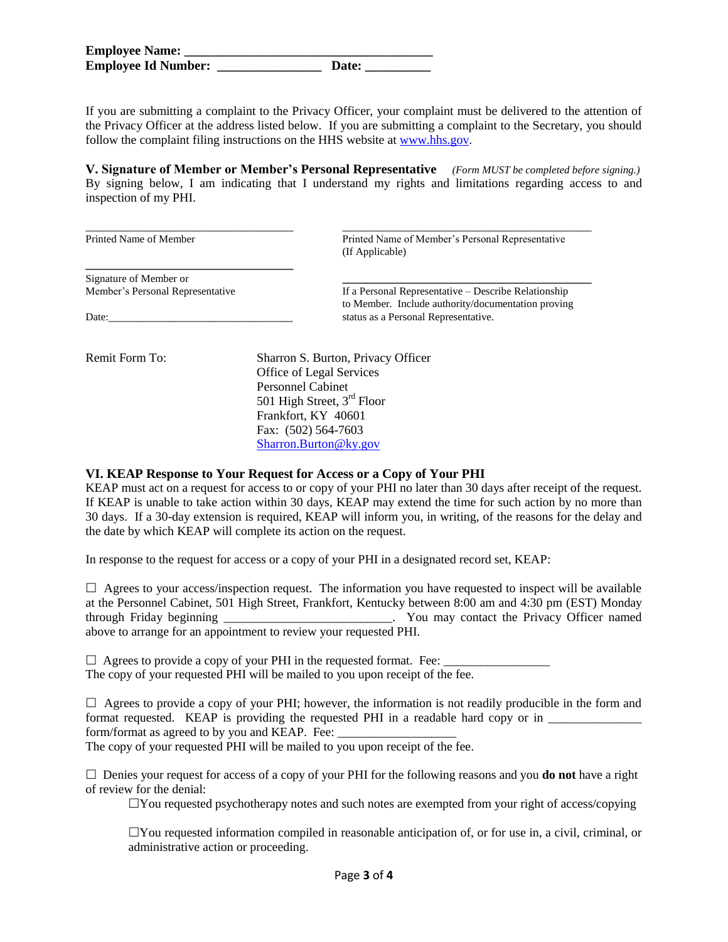| <b>Employee Name:</b>      |       |
|----------------------------|-------|
| <b>Employee Id Number:</b> | Date: |

If you are submitting a complaint to the Privacy Officer, your complaint must be delivered to the attention of the Privacy Officer at the address listed below. If you are submitting a complaint to the Secretary, you should follow the complaint filing instructions on the HHS website at [www.hhs.gov.](http://www.hhs.gov/)

**V. Signature of Member or Member's Personal Representative** *(Form MUST be completed before signing.)* By signing below, I am indicating that I understand my rights and limitations regarding access to and inspection of my PHI.

\_\_\_\_\_\_\_\_\_\_\_\_\_\_\_\_\_\_\_\_\_\_\_\_\_\_\_\_\_\_\_\_\_\_\_ \_\_\_\_\_\_\_\_\_\_\_\_\_\_\_\_\_\_\_\_\_\_\_\_\_\_\_\_\_\_\_\_\_\_\_\_\_\_\_\_\_\_ Printed Name of Member Printed Name of Member's Personal Representative (If Applicable)

Signature of Member or **\_\_\_\_\_\_\_\_\_\_\_\_\_\_\_\_\_\_\_\_\_\_\_\_\_\_\_\_\_\_\_\_\_\_\_\_\_\_\_\_\_\_**

**\_\_\_\_\_\_\_\_\_\_\_\_\_\_\_\_\_\_\_\_\_\_\_\_\_\_\_\_\_\_\_\_\_\_\_**

Member's Personal Representative If a Personal Representative – Describe Relationship to Member. Include authority/documentation proving Date: the contraction of the status as a Personal Representative.

Remit Form To: Sharron S. Burton, Privacy Officer Office of Legal Services Personnel Cabinet 501 High Street, 3<sup>rd</sup> Floor Frankfort, KY 40601 Fax: (502) 564-7603 [Sharron.Burton@ky.gov](mailto:Sharron.Burton@ky.gov)

#### **VI. KEAP Response to Your Request for Access or a Copy of Your PHI**

KEAP must act on a request for access to or copy of your PHI no later than 30 days after receipt of the request. If KEAP is unable to take action within 30 days, KEAP may extend the time for such action by no more than 30 days. If a 30-day extension is required, KEAP will inform you, in writing, of the reasons for the delay and the date by which KEAP will complete its action on the request.

In response to the request for access or a copy of your PHI in a designated record set, KEAP:

 $\Box$  Agrees to your access/inspection request. The information you have requested to inspect will be available at the Personnel Cabinet, 501 High Street, Frankfort, Kentucky between 8:00 am and 4:30 pm (EST) Monday through Friday beginning \_\_\_\_\_\_\_\_\_\_\_\_\_\_\_\_\_\_\_\_\_\_\_\_\_\_\_. You may contact the Privacy Officer named above to arrange for an appointment to review your requested PHI.

 $\Box$  Agrees to provide a copy of your PHI in the requested format. Fee: The copy of your requested PHI will be mailed to you upon receipt of the fee.

 $\Box$  Agrees to provide a copy of your PHI; however, the information is not readily producible in the form and format requested. KEAP is providing the requested PHI in a readable hard copy or in \_\_\_\_\_\_\_\_\_\_\_\_\_\_\_ form/format as agreed to by you and KEAP. Fee:

The copy of your requested PHI will be mailed to you upon receipt of the fee.

 $\Box$  Denies your request for access of a copy of your PHI for the following reasons and you **do not** have a right of review for the denial:

 $\Box$  You requested psychotherapy notes and such notes are exempted from your right of access/copying

 $\Box$ You requested information compiled in reasonable anticipation of, or for use in, a civil, criminal, or administrative action or proceeding.